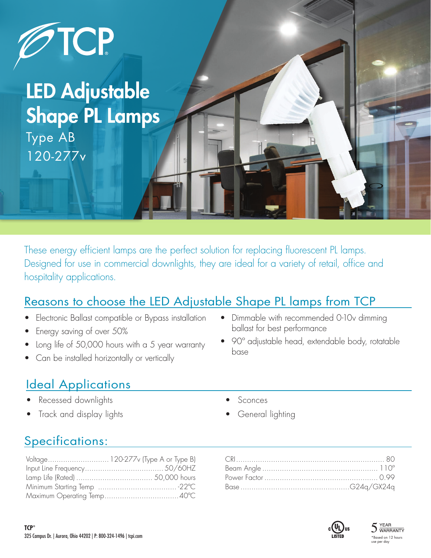

# LED Adjustable Shape PL Lamps

Type AB 120-277v

These energy efficient lamps are the perfect solution for replacing fluorescent PL lamps. Designed for use in commercial downlights, they are ideal for a variety of retail, office and hospitality applications.

### Reasons to choose the LED Adjustable Shape PL lamps from TCP

- Electronic Ballast compatible or Bypass installation
- Energy saving of over 50%
- Long life of 50,000 hours with a 5 year warranty
- Can be installed horizontally or vertically

# Ideal Applications

- Recessed downlights
- Track and display lights
- Dimmable with recommended 0-10v dimming ballast for best performance
- 90º adjustable head, extendable body, rotatable base
	- **Sconces**
	- General lighting

# Specifications: